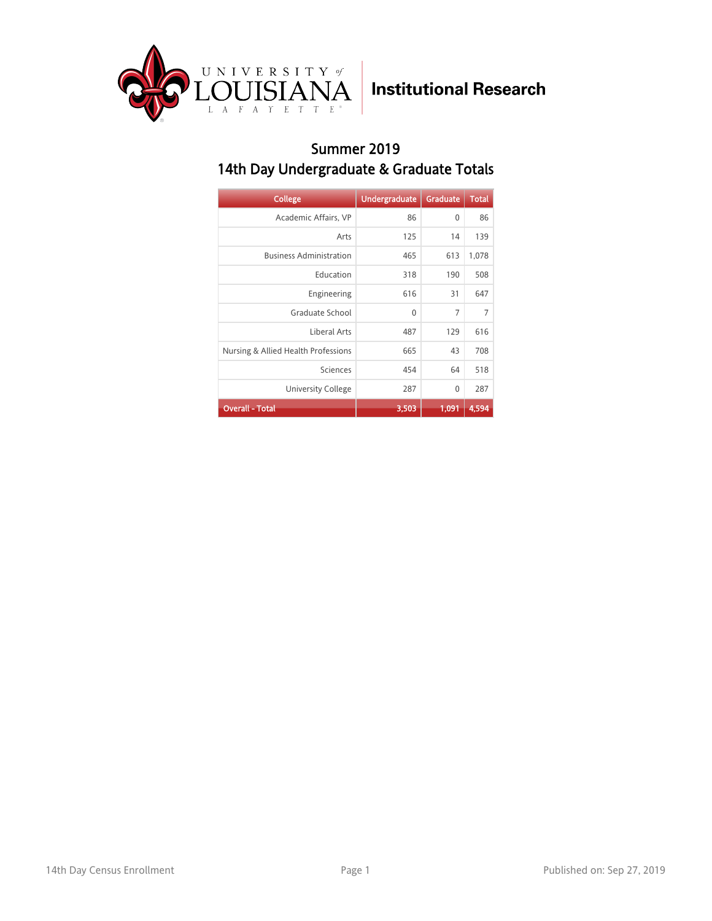

#### Summer 2019 14th Day Undergraduate & Graduate Totals

| <b>College</b>                      | <b>Undergraduate</b> | <b>Graduate</b> | <b>Total</b> |
|-------------------------------------|----------------------|-----------------|--------------|
| Academic Affairs, VP                | 86                   | $\mathbf{0}$    | 86           |
| Arts                                | 125                  | 14              | 139          |
| <b>Business Administration</b>      | 465                  | 613             | 1,078        |
| Education                           | 318                  | 190             | 508          |
| Engineering                         | 616                  | 31              | 647          |
| Graduate School                     | $\mathbf{0}$         | $\overline{7}$  | 7            |
| Liberal Arts                        | 487                  | 129             | 616          |
| Nursing & Allied Health Professions | 665                  | 43              | 708          |
| Sciences                            | 454                  | 64              | 518          |
| <b>University College</b>           | 287                  | $\mathbf{0}$    | 287          |
| <b>Overall - Total</b>              | 3,503                | 1,091           | 4,594        |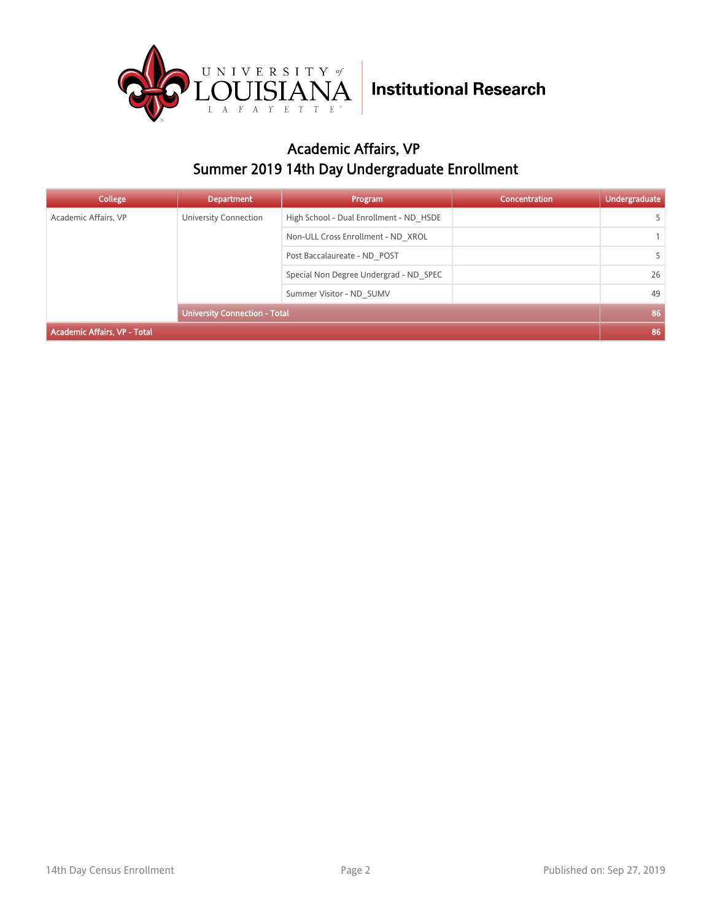

### Academic Affairs, VP Summer 2019 14th Day Undergraduate Enrollment

| <b>College</b>                      | <b>Department</b>                    | Program                                 | <b>Concentration</b> | <b>Undergraduate</b> |
|-------------------------------------|--------------------------------------|-----------------------------------------|----------------------|----------------------|
| Academic Affairs, VP                | University Connection                | High School - Dual Enrollment - ND HSDE |                      |                      |
|                                     |                                      | Non-ULL Cross Enrollment - ND XROL      |                      |                      |
|                                     |                                      | Post Baccalaureate - ND POST            |                      |                      |
|                                     |                                      | Special Non Degree Undergrad - ND SPEC  |                      | 26                   |
|                                     |                                      | Summer Visitor - ND SUMV                |                      | 49                   |
|                                     | <b>University Connection - Total</b> |                                         |                      | 86                   |
| <b>Academic Affairs, VP - Total</b> |                                      |                                         |                      | 86                   |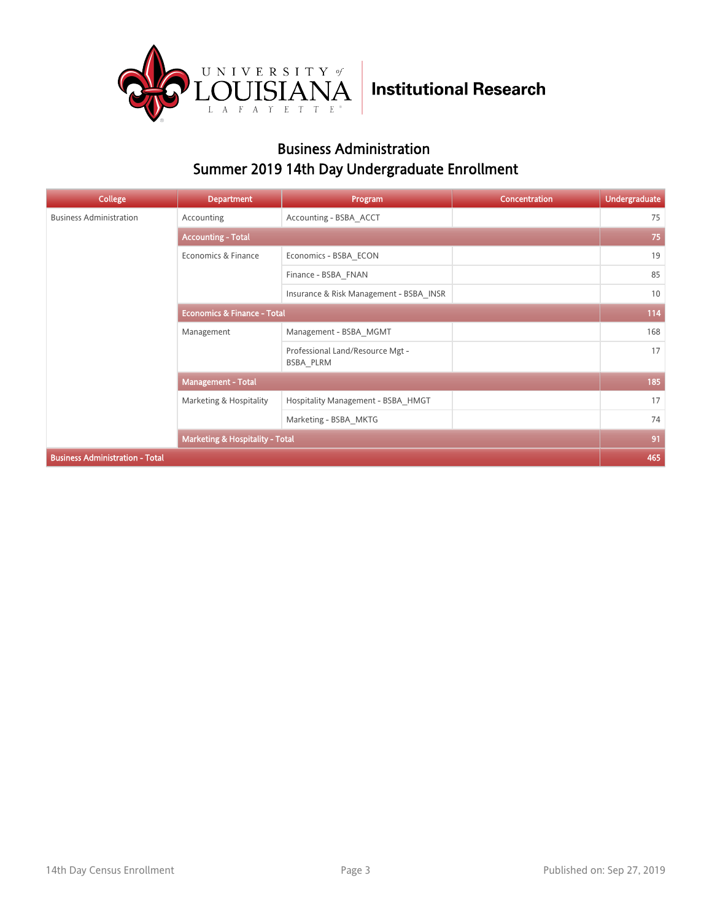

#### Business Administration Summer 2019 14th Day Undergraduate Enrollment

| College                                | <b>Department</b>                          | Program                                       | Concentration | <b>Undergraduate</b> |  |
|----------------------------------------|--------------------------------------------|-----------------------------------------------|---------------|----------------------|--|
| <b>Business Administration</b>         | Accounting                                 | Accounting - BSBA ACCT                        |               | 75                   |  |
|                                        | <b>Accounting - Total</b>                  |                                               |               |                      |  |
|                                        | Economics & Finance                        | Economics - BSBA ECON                         |               | 19                   |  |
|                                        |                                            | Finance - BSBA FNAN                           |               | 85                   |  |
|                                        |                                            | Insurance & Risk Management - BSBA INSR       |               | 10                   |  |
|                                        | <b>Economics &amp; Finance - Total</b>     |                                               |               | 114                  |  |
|                                        | Management                                 | Management - BSBA MGMT                        |               | 168                  |  |
|                                        |                                            | Professional Land/Resource Mgt -<br>BSBA PLRM |               | 17                   |  |
|                                        | <b>Management - Total</b>                  |                                               |               | 185                  |  |
|                                        | Marketing & Hospitality                    | Hospitality Management - BSBA HMGT            |               | 17                   |  |
|                                        |                                            | Marketing - BSBA MKTG                         |               | 74                   |  |
|                                        | <b>Marketing &amp; Hospitality - Total</b> |                                               |               | 91                   |  |
| <b>Business Administration - Total</b> |                                            |                                               |               | 465                  |  |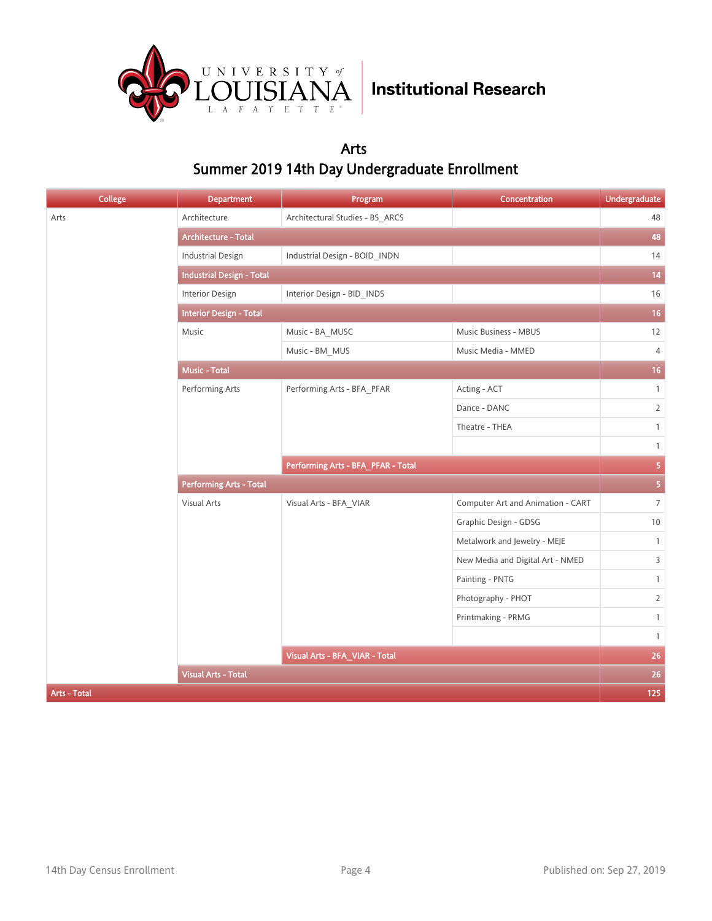

#### Arts Summer 2019 14th Day Undergraduate Enrollment

| College      | <b>Department</b>                | Program                            | Concentration                     | <b>Undergraduate</b>    |
|--------------|----------------------------------|------------------------------------|-----------------------------------|-------------------------|
| Arts         | Architecture                     | Architectural Studies - BS_ARCS    |                                   | 48                      |
|              | Architecture - Total             |                                    |                                   | 48                      |
|              | <b>Industrial Design</b>         | Industrial Design - BOID_INDN      |                                   | 14                      |
|              | <b>Industrial Design - Total</b> |                                    |                                   | 14                      |
|              | <b>Interior Design</b>           | Interior Design - BID_INDS         |                                   | 16                      |
|              | <b>Interior Design - Total</b>   |                                    |                                   |                         |
|              | Music                            | Music - BA_MUSC                    | Music Business - MBUS             | 12                      |
|              |                                  | Music - BM_MUS                     | Music Media - MMED                | $\overline{4}$          |
|              | Music - Total                    |                                    |                                   | 16                      |
|              | Performing Arts                  | Performing Arts - BFA_PFAR         | Acting - ACT                      | $\mathbf{1}$            |
|              |                                  |                                    | Dance - DANC                      | $\overline{2}$          |
|              |                                  |                                    | Theatre - THEA                    | $\mathbf{1}$            |
|              |                                  |                                    |                                   | $\mathbf{1}$            |
|              |                                  | Performing Arts - BFA_PFAR - Total |                                   | $\overline{\mathbf{5}}$ |
|              | <b>Performing Arts - Total</b>   |                                    |                                   | $\overline{\mathbf{5}}$ |
|              | Visual Arts                      | Visual Arts - BFA_VIAR             | Computer Art and Animation - CART | $\overline{7}$          |
|              |                                  |                                    | Graphic Design - GDSG             | 10                      |
|              |                                  |                                    | Metalwork and Jewelry - MEJE      | $\mathbf{1}$            |
|              |                                  |                                    | New Media and Digital Art - NMED  | $\mathsf{3}$            |
|              |                                  |                                    | Painting - PNTG                   | $\mathbf{1}$            |
|              |                                  |                                    | Photography - PHOT                | $\overline{2}$          |
|              |                                  |                                    | Printmaking - PRMG                | $\mathbf{1}$            |
|              |                                  |                                    |                                   | $\mathbf{1}$            |
|              |                                  | Visual Arts - BFA_VIAR - Total     |                                   | 26                      |
|              | <b>Visual Arts - Total</b>       |                                    |                                   | $26\,$                  |
| Arts - Total |                                  |                                    |                                   | 125                     |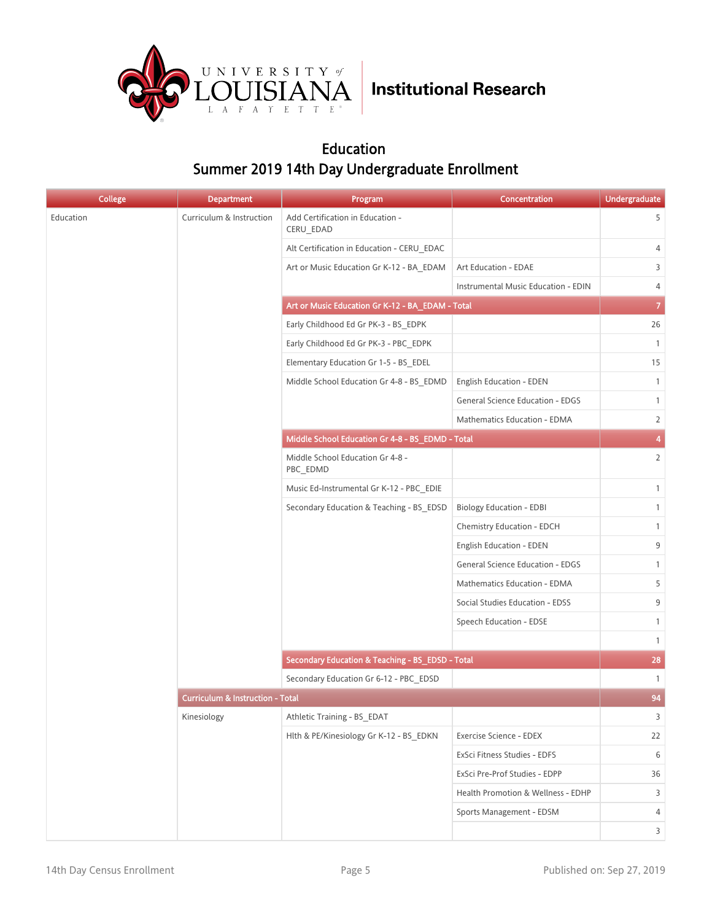

#### Education Summer 2019 14th Day Undergraduate Enrollment

| <b>College</b> | <b>Department</b>                           | Program                                          | <b>Concentration</b>                    | <b>Undergraduate</b> |
|----------------|---------------------------------------------|--------------------------------------------------|-----------------------------------------|----------------------|
| Education      | Curriculum & Instruction                    | Add Certification in Education -<br>CERU_EDAD    |                                         | 5                    |
|                |                                             | Alt Certification in Education - CERU EDAC       |                                         | 4                    |
|                |                                             | Art or Music Education Gr K-12 - BA_EDAM         | Art Education - EDAE                    | 3                    |
|                |                                             |                                                  | Instrumental Music Education - EDIN     | 4                    |
|                |                                             | Art or Music Education Gr K-12 - BA_EDAM - Total |                                         | $\overline{7}$       |
|                |                                             | Early Childhood Ed Gr PK-3 - BS EDPK             |                                         | 26                   |
|                |                                             | Early Childhood Ed Gr PK-3 - PBC EDPK            |                                         | $\mathbf{1}$         |
|                |                                             | Elementary Education Gr 1-5 - BS EDEL            |                                         | 15                   |
|                |                                             | Middle School Education Gr 4-8 - BS EDMD         | English Education - EDEN                | $\mathbf{1}$         |
|                |                                             |                                                  | <b>General Science Education - EDGS</b> | $\mathbf{1}$         |
|                |                                             |                                                  | Mathematics Education - EDMA            | $\overline{2}$       |
|                |                                             | Middle School Education Gr 4-8 - BS_EDMD - Total |                                         | 4                    |
|                |                                             | Middle School Education Gr 4-8 -<br>PBC_EDMD     |                                         | $\overline{2}$       |
|                |                                             | Music Ed-Instrumental Gr K-12 - PBC EDIE         |                                         | $\mathbf{1}$         |
|                |                                             | Secondary Education & Teaching - BS EDSD         | <b>Biology Education - EDBI</b>         | $\mathbf{1}$         |
|                |                                             |                                                  | Chemistry Education - EDCH              | $\mathbf{1}$         |
|                |                                             |                                                  | English Education - EDEN                | 9                    |
|                |                                             |                                                  | <b>General Science Education - EDGS</b> | $\mathbf{1}$         |
|                |                                             |                                                  | Mathematics Education - EDMA            | 5                    |
|                |                                             |                                                  | Social Studies Education - EDSS         | 9                    |
|                |                                             |                                                  | Speech Education - EDSE                 | $\mathbf{1}$         |
|                |                                             |                                                  |                                         | $\mathbf{1}$         |
|                |                                             | Secondary Education & Teaching - BS_EDSD - Total |                                         | 28                   |
|                |                                             | Secondary Education Gr 6-12 - PBC_EDSD           |                                         | $\mathbf{1}$         |
|                | <b>Curriculum &amp; Instruction - Total</b> |                                                  |                                         | 94                   |
|                | Kinesiology                                 | Athletic Training - BS_EDAT                      |                                         | 3                    |
|                |                                             | Hlth & PE/Kinesiology Gr K-12 - BS_EDKN          | Exercise Science - EDEX                 | 22                   |
|                |                                             |                                                  | ExSci Fitness Studies - EDFS            | 6                    |
|                |                                             |                                                  | ExSci Pre-Prof Studies - EDPP           | 36                   |
|                |                                             |                                                  | Health Promotion & Wellness - EDHP      | 3                    |
|                |                                             |                                                  | Sports Management - EDSM                | 4                    |
|                |                                             |                                                  |                                         | 3                    |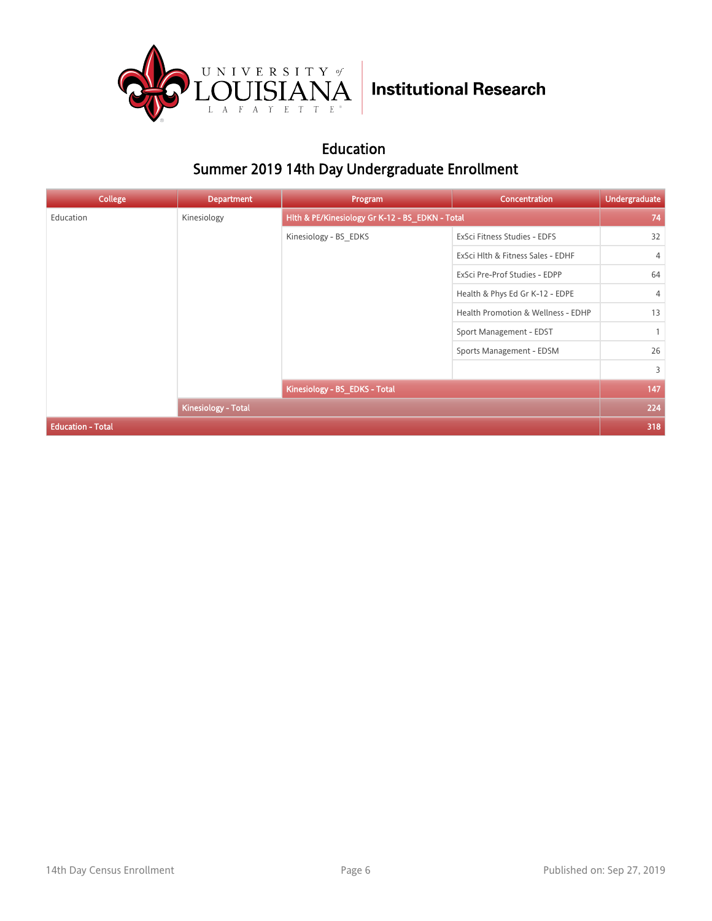

#### Education Summer 2019 14th Day Undergraduate Enrollment

| College                  | <b>Department</b>   | Program                                         | Concentration                      | <b>Undergraduate</b> |
|--------------------------|---------------------|-------------------------------------------------|------------------------------------|----------------------|
| Education                | Kinesiology         | Hlth & PE/Kinesiology Gr K-12 - BS_EDKN - Total |                                    | 74                   |
|                          |                     | Kinesiology - BS EDKS                           | ExSci Fitness Studies - EDFS       | 32                   |
|                          |                     |                                                 | ExSci Hlth & Fitness Sales - EDHF  | $\overline{4}$       |
|                          |                     |                                                 | ExSci Pre-Prof Studies - EDPP      | 64                   |
|                          |                     |                                                 | Health & Phys Ed Gr K-12 - EDPE    | 4                    |
|                          |                     |                                                 | Health Promotion & Wellness - EDHP | 13                   |
|                          |                     |                                                 | Sport Management - EDST            | $\mathbf{1}$         |
|                          |                     |                                                 | Sports Management - EDSM           | 26                   |
|                          |                     |                                                 |                                    | $\overline{3}$       |
|                          |                     | Kinesiology - BS_EDKS - Total                   |                                    | 147                  |
|                          | Kinesiology - Total |                                                 |                                    | 224                  |
| <b>Education - Total</b> |                     |                                                 |                                    | 318                  |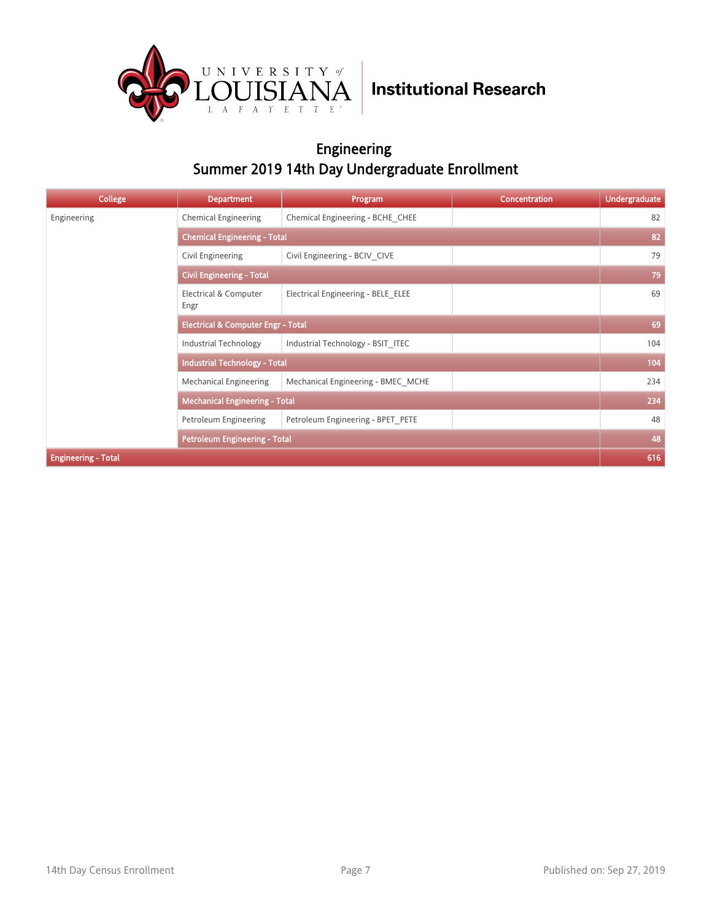

#### Engineering Summer 2019 14th Day Undergraduate Enrollment

| <b>College</b>             | <b>Department</b>                             | Program                             | <b>Concentration</b> | <b>Undergraduate</b> |  |  |
|----------------------------|-----------------------------------------------|-------------------------------------|----------------------|----------------------|--|--|
| Engineering                | <b>Chemical Engineering</b>                   | Chemical Engineering - BCHE CHEE    |                      | 82                   |  |  |
|                            |                                               | <b>Chemical Engineering - Total</b> |                      |                      |  |  |
|                            | Civil Engineering                             | Civil Engineering - BCIV CIVE       |                      | 79                   |  |  |
|                            | <b>Civil Engineering - Total</b>              |                                     |                      | 79                   |  |  |
|                            | Electrical & Computer<br>Engr                 | Electrical Engineering - BELE ELEE  |                      | 69                   |  |  |
|                            | <b>Electrical &amp; Computer Engr - Total</b> |                                     |                      | 69                   |  |  |
|                            | <b>Industrial Technology</b>                  | Industrial Technology - BSIT ITEC   |                      | 104                  |  |  |
|                            | <b>Industrial Technology - Total</b>          |                                     |                      | 104                  |  |  |
|                            | Mechanical Engineering                        | Mechanical Engineering - BMEC MCHE  |                      | 234                  |  |  |
|                            | <b>Mechanical Engineering - Total</b>         |                                     |                      | 234                  |  |  |
|                            | Petroleum Engineering                         | Petroleum Engineering - BPET PETE   |                      | 48                   |  |  |
|                            | <b>Petroleum Engineering - Total</b>          |                                     |                      | 48                   |  |  |
| <b>Engineering - Total</b> |                                               |                                     |                      | 616                  |  |  |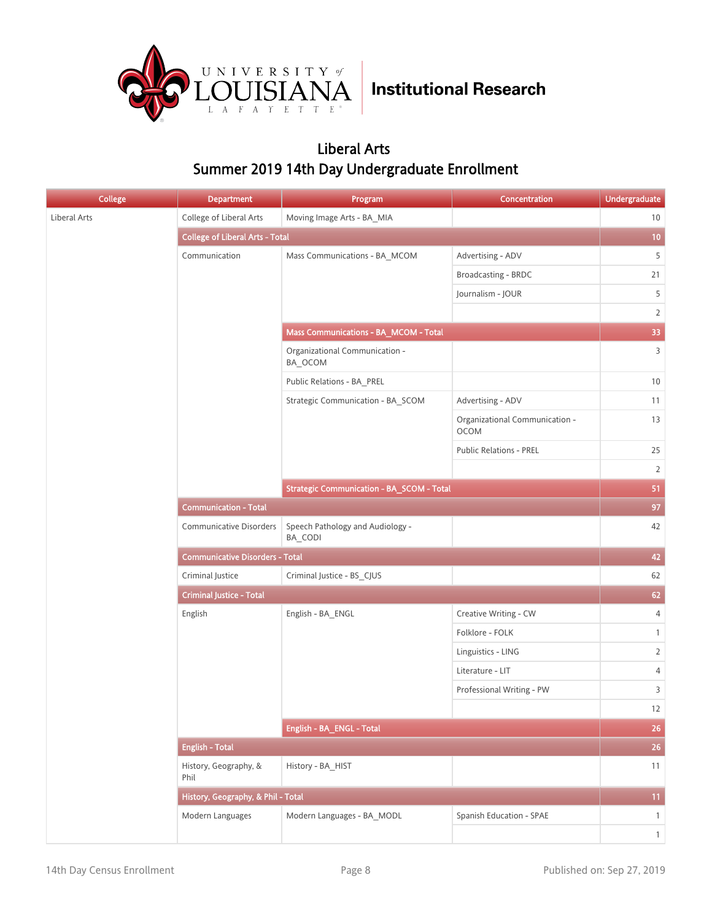

#### Liberal Arts Summer 2019 14th Day Undergraduate Enrollment

| <b>College</b> | <b>Department</b>                      | Program                                          | Concentration                                 | <b>Undergraduate</b> |
|----------------|----------------------------------------|--------------------------------------------------|-----------------------------------------------|----------------------|
| Liberal Arts   | College of Liberal Arts                | Moving Image Arts - BA MIA                       |                                               | 10                   |
|                | <b>College of Liberal Arts - Total</b> |                                                  |                                               | 10                   |
|                | Communication                          | Mass Communications - BA_MCOM                    | Advertising - ADV                             | 5                    |
|                |                                        |                                                  | Broadcasting - BRDC                           | 21                   |
|                |                                        |                                                  | Journalism - JOUR                             | 5                    |
|                |                                        |                                                  |                                               | $\overline{2}$       |
|                |                                        | Mass Communications - BA_MCOM - Total            |                                               | 33                   |
|                |                                        | Organizational Communication -<br>BA_OCOM        |                                               | $\overline{3}$       |
|                |                                        | Public Relations - BA_PREL                       |                                               | $10\,$               |
|                |                                        | Strategic Communication - BA_SCOM                | Advertising - ADV                             | 11                   |
|                |                                        |                                                  | Organizational Communication -<br><b>OCOM</b> | 13                   |
|                |                                        |                                                  | <b>Public Relations - PREL</b>                | 25                   |
|                |                                        |                                                  |                                               | $\overline{2}$       |
|                |                                        | <b>Strategic Communication - BA_SCOM - Total</b> |                                               | 51                   |
|                | <b>Communication - Total</b>           |                                                  |                                               | 97                   |
|                | <b>Communicative Disorders</b>         | Speech Pathology and Audiology -<br>BA_CODI      |                                               | 42                   |
|                | <b>Communicative Disorders - Total</b> |                                                  |                                               | 42                   |
|                | Criminal Justice                       | Criminal Justice - BS_CJUS                       |                                               | 62                   |
|                | <b>Criminal Justice - Total</b>        |                                                  |                                               | 62                   |
|                | English                                | English - BA_ENGL                                | Creative Writing - CW                         | $\overline{4}$       |
|                |                                        |                                                  | Folklore - FOLK                               | $\mathbf{1}$         |
|                |                                        |                                                  | Linguistics - LING                            | $\overline{2}$       |
|                |                                        |                                                  | Literature - LIT                              | 4                    |
|                |                                        |                                                  | Professional Writing - PW                     | 3                    |
|                |                                        |                                                  |                                               | $12\,$               |
|                |                                        | English - BA_ENGL - Total                        |                                               | 26                   |
|                | <b>English - Total</b>                 |                                                  |                                               | 26                   |
|                | History, Geography, &<br>Phil          | History - BA_HIST                                |                                               | 11                   |
|                | History, Geography, & Phil - Total     |                                                  |                                               | 11                   |
|                | Modern Languages                       | Modern Languages - BA_MODL                       | Spanish Education - SPAE                      | $\mathbf{1}$         |
|                |                                        |                                                  |                                               | $\mathbf{1}$         |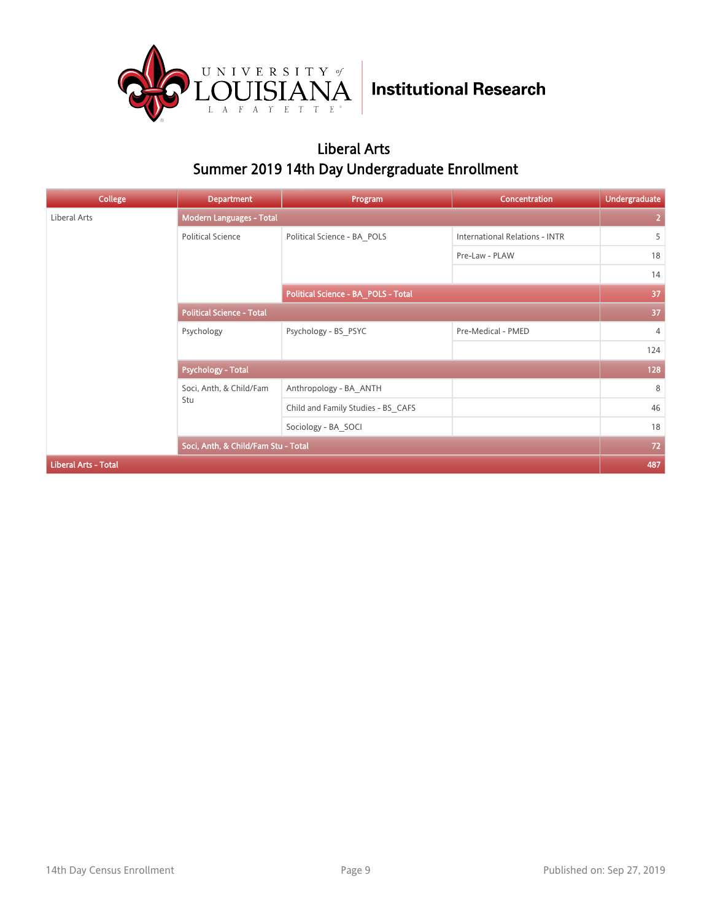

#### Liberal Arts Summer 2019 14th Day Undergraduate Enrollment

| College                     | <b>Department</b>                   | Program                             | Concentration                         | <b>Undergraduate</b> |
|-----------------------------|-------------------------------------|-------------------------------------|---------------------------------------|----------------------|
| Liberal Arts                | <b>Modern Languages - Total</b>     |                                     |                                       | $\overline{2}$       |
|                             | <b>Political Science</b>            | Political Science - BA_POLS         | <b>International Relations - INTR</b> | 5                    |
|                             |                                     |                                     | Pre-Law - PLAW                        | 18                   |
|                             |                                     |                                     |                                       | 14                   |
|                             |                                     | Political Science - BA_POLS - Total |                                       | 37                   |
|                             | <b>Political Science - Total</b>    |                                     |                                       | 37                   |
|                             | Psychology                          | Psychology - BS PSYC                | Pre-Medical - PMED                    | 4                    |
|                             |                                     |                                     |                                       | 124                  |
|                             | <b>Psychology - Total</b>           |                                     |                                       | 128                  |
|                             | Soci, Anth, & Child/Fam<br>Stu      | Anthropology - BA ANTH              |                                       | 8                    |
|                             |                                     | Child and Family Studies - BS CAFS  |                                       | 46                   |
|                             |                                     | Sociology - BA SOCI                 |                                       | 18                   |
|                             | Soci, Anth, & Child/Fam Stu - Total |                                     |                                       | $72$                 |
| <b>Liberal Arts - Total</b> |                                     |                                     |                                       | 487                  |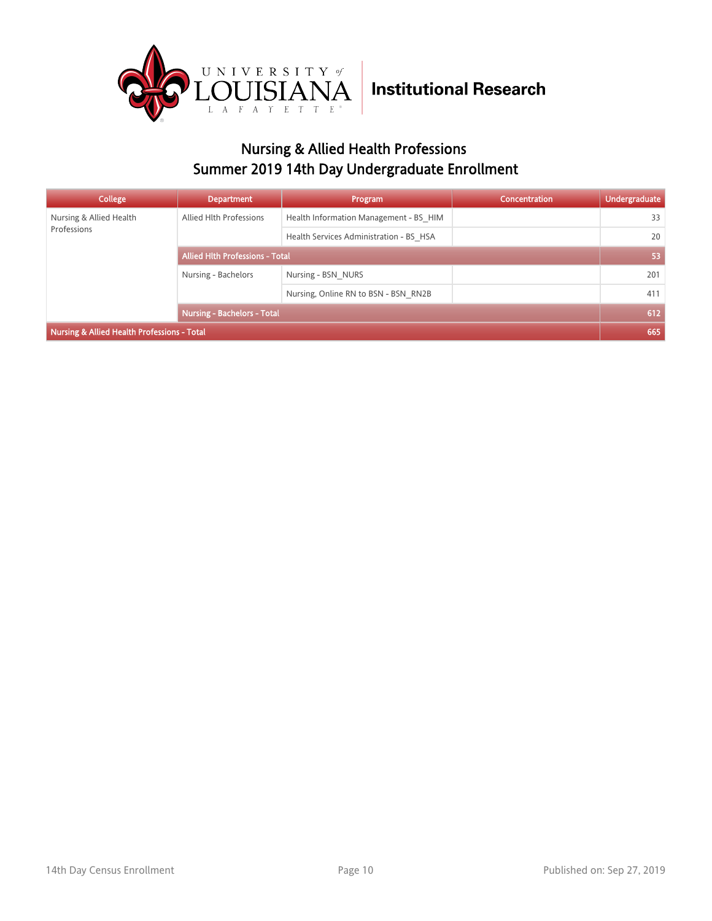

### Nursing & Allied Health Professions Summer 2019 14th Day Undergraduate Enrollment

| College                                     | <b>Department</b>                      | Program                                 | <b>Concentration</b> | <b>Undergraduate</b> |
|---------------------------------------------|----------------------------------------|-----------------------------------------|----------------------|----------------------|
| Nursing & Allied Health                     | Allied Hlth Professions                | Health Information Management - BS HIM  |                      | 33                   |
| Professions                                 |                                        | Health Services Administration - BS HSA |                      | 20                   |
|                                             | <b>Allied Hith Professions - Total</b> |                                         |                      | 53                   |
|                                             | Nursing - Bachelors                    | Nursing - BSN NURS                      |                      | 201                  |
|                                             |                                        | Nursing, Online RN to BSN - BSN RN2B    |                      | 411                  |
|                                             | <b>Nursing - Bachelors - Total</b>     |                                         |                      | 612                  |
| Nursing & Allied Health Professions - Total |                                        |                                         |                      | 665                  |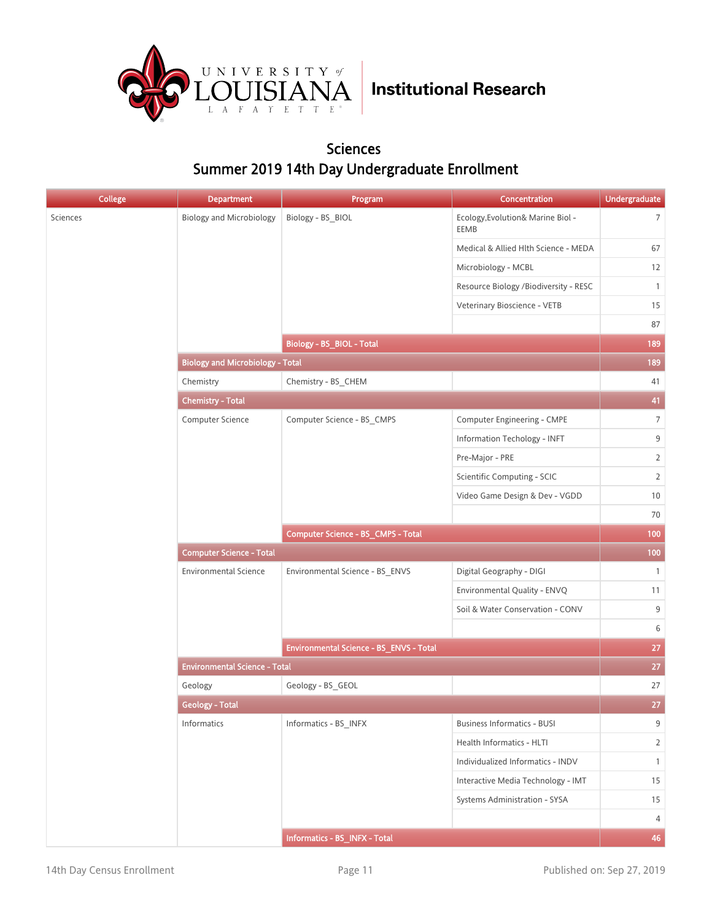

#### Sciences Summer 2019 14th Day Undergraduate Enrollment

| <b>College</b> | <b>Department</b>                       | Program                                 | Concentration                             | <b>Undergraduate</b> |
|----------------|-----------------------------------------|-----------------------------------------|-------------------------------------------|----------------------|
| Sciences       | <b>Biology and Microbiology</b>         | Biology - BS_BIOL                       | Ecology, Evolution& Marine Biol -<br>EEMB | 7                    |
|                |                                         |                                         | Medical & Allied Hlth Science - MEDA      | 67                   |
|                |                                         |                                         | Microbiology - MCBL                       | 12                   |
|                |                                         |                                         | Resource Biology /Biodiversity - RESC     | $\mathbf{1}$         |
|                |                                         |                                         | Veterinary Bioscience - VETB              | 15                   |
|                |                                         |                                         |                                           | 87                   |
|                |                                         | Biology - BS_BIOL - Total               |                                           | 189                  |
|                | <b>Biology and Microbiology - Total</b> |                                         |                                           | 189                  |
|                | Chemistry                               | Chemistry - BS_CHEM                     |                                           | 41                   |
|                | <b>Chemistry - Total</b>                |                                         |                                           | 41                   |
|                | Computer Science                        | Computer Science - BS_CMPS              | Computer Engineering - CMPE               | $\overline{7}$       |
|                |                                         |                                         | Information Techology - INFT              | 9                    |
|                |                                         |                                         | Pre-Major - PRE                           | $\overline{2}$       |
|                |                                         |                                         | Scientific Computing - SCIC               | $\overline{2}$       |
|                |                                         |                                         | Video Game Design & Dev - VGDD            | 10                   |
|                |                                         |                                         |                                           | 70                   |
|                |                                         | Computer Science - BS_CMPS - Total      |                                           | 100                  |
|                | <b>Computer Science - Total</b>         |                                         |                                           |                      |
|                | <b>Environmental Science</b>            | Environmental Science - BS_ENVS         | Digital Geography - DIGI                  | $\mathbf{1}$         |
|                |                                         |                                         | Environmental Quality - ENVQ              | 11                   |
|                |                                         |                                         | Soil & Water Conservation - CONV          | 9                    |
|                |                                         |                                         |                                           | 6                    |
|                |                                         | Environmental Science - BS_ENVS - Total |                                           | 27                   |
|                | <b>Environmental Science - Total</b>    |                                         |                                           | 27                   |
|                | Geology                                 | Geology - BS_GEOL                       |                                           | 27                   |
|                | <b>Geology - Total</b>                  |                                         |                                           | 27                   |
|                | Informatics                             | Informatics - BS_INFX                   | <b>Business Informatics - BUSI</b>        | 9                    |
|                |                                         |                                         | Health Informatics - HLTI                 | 2                    |
|                |                                         |                                         | Individualized Informatics - INDV         | $\mathbf{1}$         |
|                |                                         |                                         | Interactive Media Technology - IMT        | 15                   |
|                |                                         |                                         | Systems Administration - SYSA             | 15                   |
|                |                                         |                                         |                                           | 4                    |
|                |                                         | Informatics - BS_INFX - Total           |                                           | 46                   |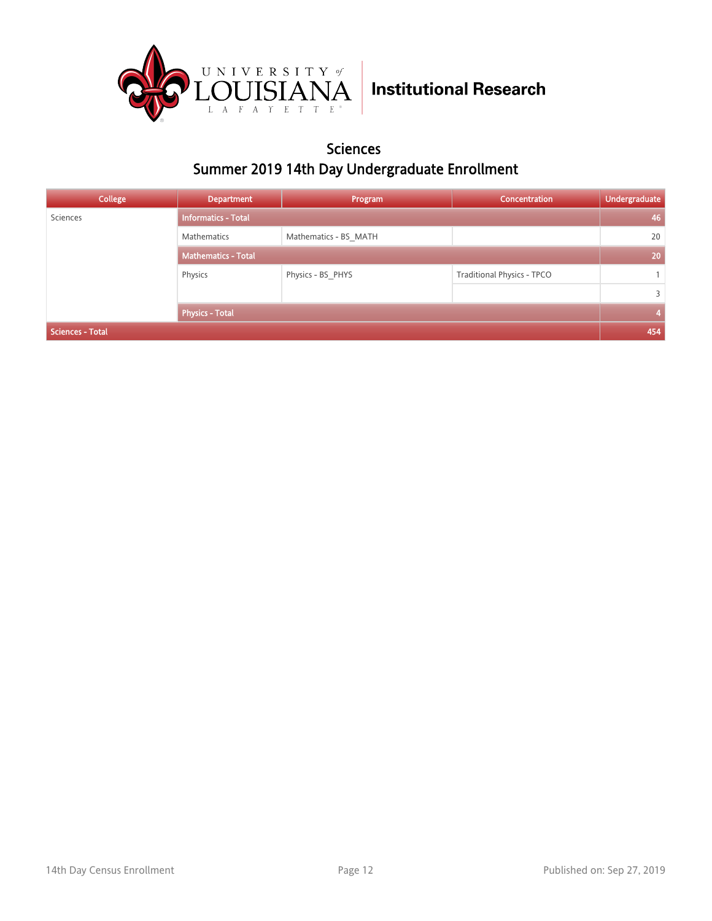

#### Sciences Summer 2019 14th Day Undergraduate Enrollment

| College                 | <b>Department</b>          | Program               | <b>Concentration</b>       | Undergraduate |
|-------------------------|----------------------------|-----------------------|----------------------------|---------------|
| Sciences                | <b>Informatics - Total</b> |                       |                            | 46            |
|                         | Mathematics                | Mathematics - BS MATH |                            | 20            |
|                         | <b>Mathematics - Total</b> |                       |                            | 20            |
|                         | Physics                    | Physics - BS PHYS     | Traditional Physics - TPCO |               |
|                         |                            |                       |                            | 3             |
|                         | <b>Physics - Total</b>     |                       |                            | 4             |
| <b>Sciences - Total</b> |                            |                       |                            |               |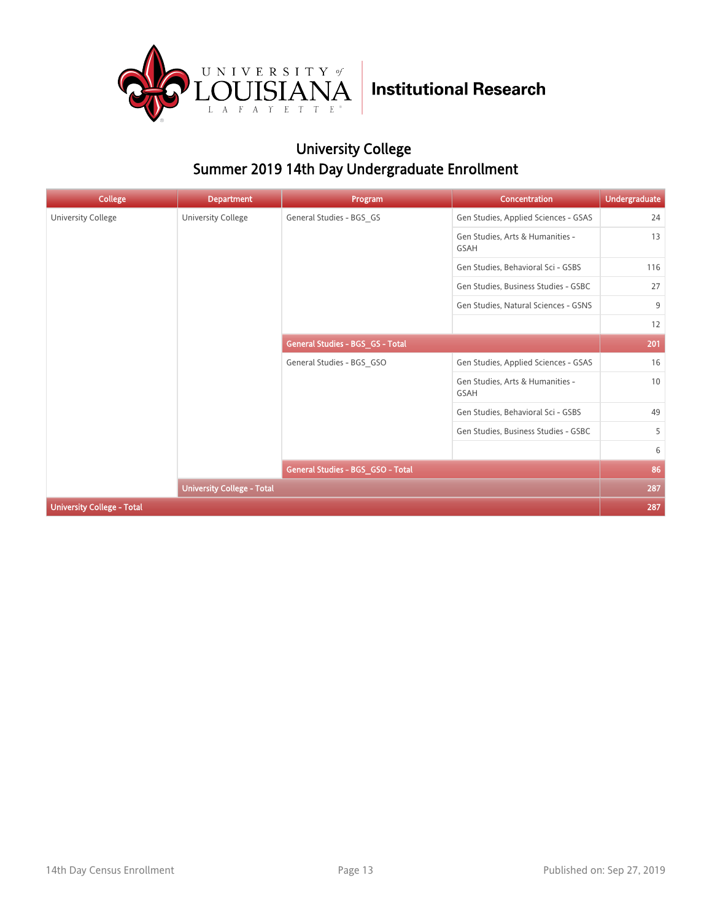

### University College Summer 2019 14th Day Undergraduate Enrollment

| College                           | <b>Department</b>                 | Program                           | <b>Concentration</b>                            | <b>Undergraduate</b> |
|-----------------------------------|-----------------------------------|-----------------------------------|-------------------------------------------------|----------------------|
| University College                | University College                | General Studies - BGS GS          | Gen Studies, Applied Sciences - GSAS            | 24                   |
|                                   |                                   |                                   | Gen Studies, Arts & Humanities -<br><b>GSAH</b> | 13                   |
|                                   |                                   |                                   | Gen Studies, Behavioral Sci - GSBS              | 116                  |
|                                   |                                   |                                   | Gen Studies, Business Studies - GSBC            | 27                   |
|                                   |                                   |                                   | Gen Studies, Natural Sciences - GSNS            | 9                    |
|                                   |                                   |                                   |                                                 | 12                   |
|                                   | General Studies - BGS_GS - Total  |                                   | 201                                             |                      |
|                                   |                                   | General Studies - BGS GSO         | Gen Studies, Applied Sciences - GSAS            | 16                   |
|                                   |                                   |                                   | Gen Studies, Arts & Humanities -<br><b>GSAH</b> | 10                   |
|                                   |                                   |                                   | Gen Studies, Behavioral Sci - GSBS              | 49                   |
|                                   |                                   |                                   | Gen Studies, Business Studies - GSBC            | 5                    |
|                                   |                                   |                                   |                                                 | 6                    |
|                                   |                                   | General Studies - BGS_GSO - Total |                                                 | 86                   |
|                                   | <b>University College - Total</b> |                                   |                                                 | 287                  |
| <b>University College - Total</b> |                                   |                                   |                                                 | 287                  |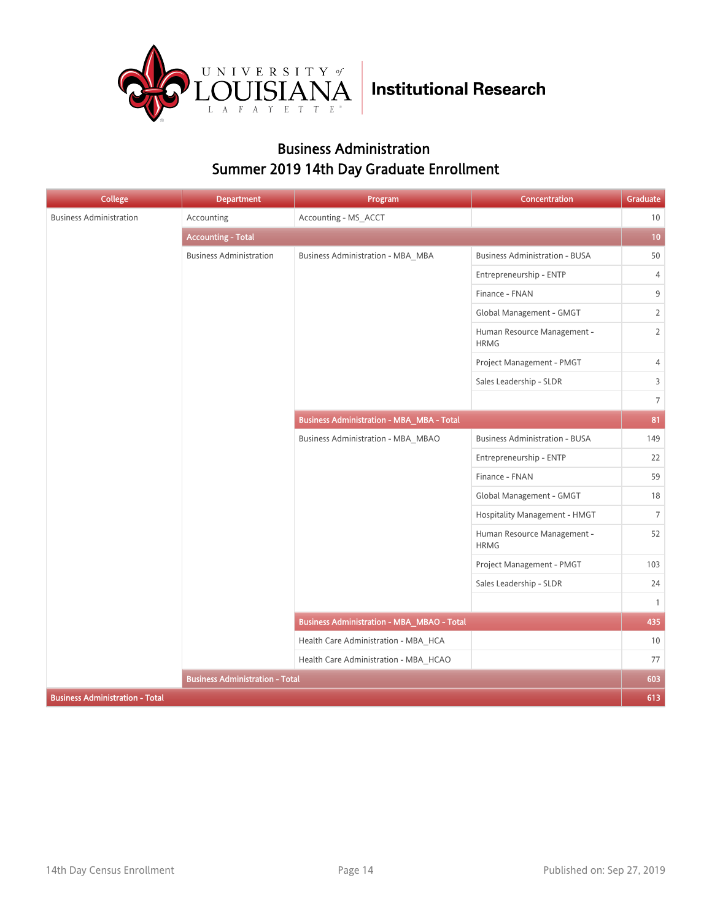

#### Business Administration Summer 2019 14th Day Graduate Enrollment

| <b>College</b>                         | Department                             | Program                                           | Concentration                              | Graduate       |
|----------------------------------------|----------------------------------------|---------------------------------------------------|--------------------------------------------|----------------|
| <b>Business Administration</b>         | Accounting                             | Accounting - MS_ACCT                              |                                            | 10             |
|                                        | <b>Accounting - Total</b>              |                                                   |                                            | 10             |
|                                        | <b>Business Administration</b>         | <b>Business Administration - MBA_MBA</b>          | <b>Business Administration - BUSA</b>      | 50             |
|                                        |                                        |                                                   | Entrepreneurship - ENTP                    | 4              |
|                                        |                                        |                                                   | Finance - FNAN                             | 9              |
|                                        |                                        |                                                   | Global Management - GMGT                   | $\overline{2}$ |
|                                        |                                        |                                                   | Human Resource Management -<br><b>HRMG</b> | $\overline{2}$ |
|                                        |                                        |                                                   | Project Management - PMGT                  | 4              |
|                                        |                                        |                                                   | Sales Leadership - SLDR                    | $\overline{3}$ |
|                                        |                                        |                                                   |                                            | $\overline{7}$ |
|                                        |                                        | <b>Business Administration - MBA_MBA - Total</b>  |                                            | 81             |
|                                        |                                        | <b>Business Administration - MBA_MBAO</b>         | <b>Business Administration - BUSA</b>      | 149            |
|                                        |                                        |                                                   | Entrepreneurship - ENTP                    | 22             |
|                                        |                                        |                                                   | Finance - FNAN                             | 59             |
|                                        |                                        |                                                   | Global Management - GMGT                   | 18             |
|                                        |                                        |                                                   | Hospitality Management - HMGT              | $\overline{7}$ |
|                                        |                                        |                                                   | Human Resource Management -<br><b>HRMG</b> | 52             |
|                                        |                                        |                                                   | Project Management - PMGT                  | 103            |
|                                        |                                        |                                                   | Sales Leadership - SLDR                    | 24             |
|                                        |                                        |                                                   |                                            | $\mathbf{1}$   |
|                                        |                                        | <b>Business Administration - MBA_MBAO - Total</b> |                                            | 435            |
|                                        |                                        | Health Care Administration - MBA_HCA              |                                            | 10             |
|                                        |                                        | Health Care Administration - MBA_HCAO             |                                            | 77             |
|                                        | <b>Business Administration - Total</b> |                                                   |                                            | 603            |
| <b>Business Administration - Total</b> |                                        |                                                   |                                            | 613            |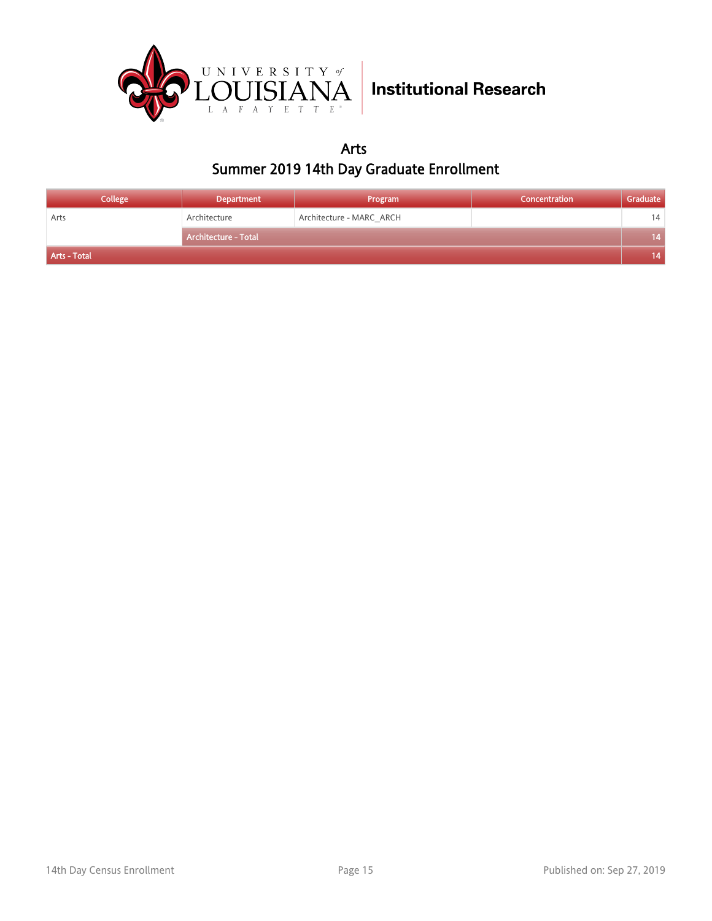

Arts Summer 2019 14th Day Graduate Enrollment

| <b>College</b> | <b>Department</b>    | Program                  | Concentration | Graduate |
|----------------|----------------------|--------------------------|---------------|----------|
| Arts           | Architecture         | Architecture - MARC ARCH |               | 14       |
|                | Architecture - Total |                          |               | 14       |
| Arts - Total   |                      |                          |               | 14       |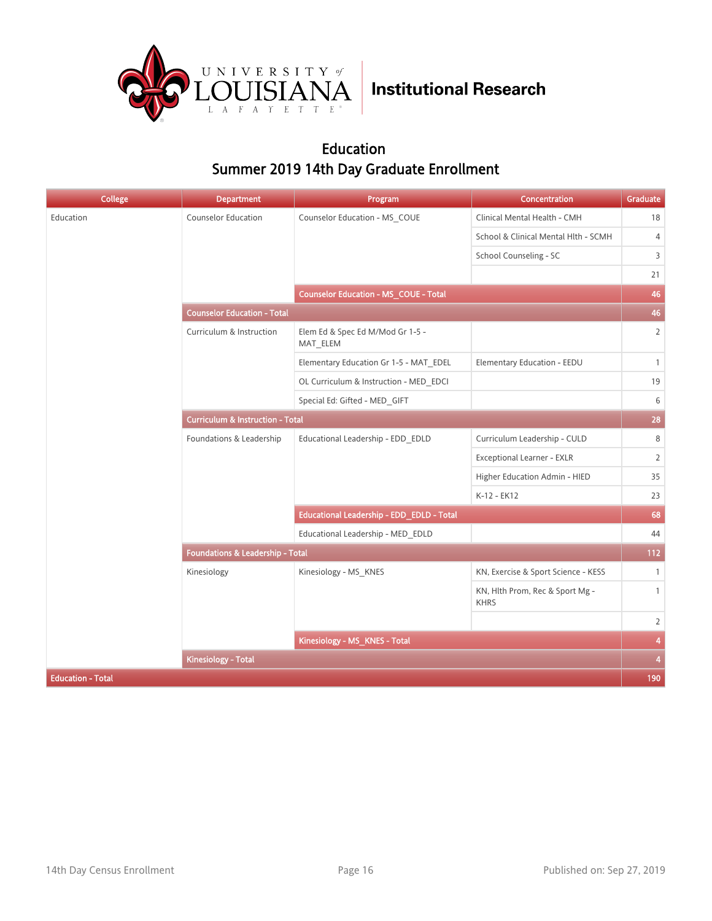

#### Education Summer 2019 14th Day Graduate Enrollment

| <b>College</b>           | <b>Department</b>                           | Program                                      | <b>Concentration</b>                           | Graduate       |
|--------------------------|---------------------------------------------|----------------------------------------------|------------------------------------------------|----------------|
| Education                | Counselor Education                         | Counselor Education - MS_COUE                | Clinical Mental Health - CMH                   | 18             |
|                          |                                             |                                              | School & Clinical Mental Hlth - SCMH           | $\overline{4}$ |
|                          |                                             |                                              | School Counseling - SC                         | 3              |
|                          |                                             |                                              |                                                | 21             |
|                          |                                             | <b>Counselor Education - MS_COUE - Total</b> |                                                | 46             |
|                          | <b>Counselor Education - Total</b>          |                                              |                                                | 46             |
|                          | Curriculum & Instruction                    | Elem Ed & Spec Ed M/Mod Gr 1-5 -<br>MAT ELEM |                                                | $\overline{2}$ |
|                          |                                             | Elementary Education Gr 1-5 - MAT EDEL       | Elementary Education - EEDU                    | $\mathbf{1}$   |
|                          |                                             | OL Curriculum & Instruction - MED EDCI       |                                                | 19             |
|                          |                                             | Special Ed: Gifted - MED GIFT                |                                                | 6              |
|                          | <b>Curriculum &amp; Instruction - Total</b> |                                              |                                                | 28             |
|                          | Foundations & Leadership                    | Educational Leadership - EDD_EDLD            | Curriculum Leadership - CULD                   | 8              |
|                          |                                             |                                              | <b>Exceptional Learner - EXLR</b>              | $\overline{2}$ |
|                          |                                             |                                              | Higher Education Admin - HIED                  | 35             |
|                          |                                             |                                              | K-12 - EK12                                    | 23             |
|                          |                                             | Educational Leadership - EDD_EDLD - Total    |                                                | 68             |
|                          |                                             | Educational Leadership - MED EDLD            |                                                | 44             |
|                          | Foundations & Leadership - Total            |                                              |                                                | 112            |
|                          | Kinesiology                                 | Kinesiology - MS_KNES                        | KN, Exercise & Sport Science - KESS            | $\mathbf{1}$   |
|                          |                                             |                                              | KN, Hlth Prom, Rec & Sport Mg -<br><b>KHRS</b> | $\mathbf{1}$   |
|                          |                                             |                                              |                                                | $\overline{2}$ |
|                          |                                             | Kinesiology - MS_KNES - Total                |                                                | 4              |
|                          | Kinesiology - Total                         |                                              |                                                | $\overline{4}$ |
| <b>Education - Total</b> |                                             |                                              |                                                | 190            |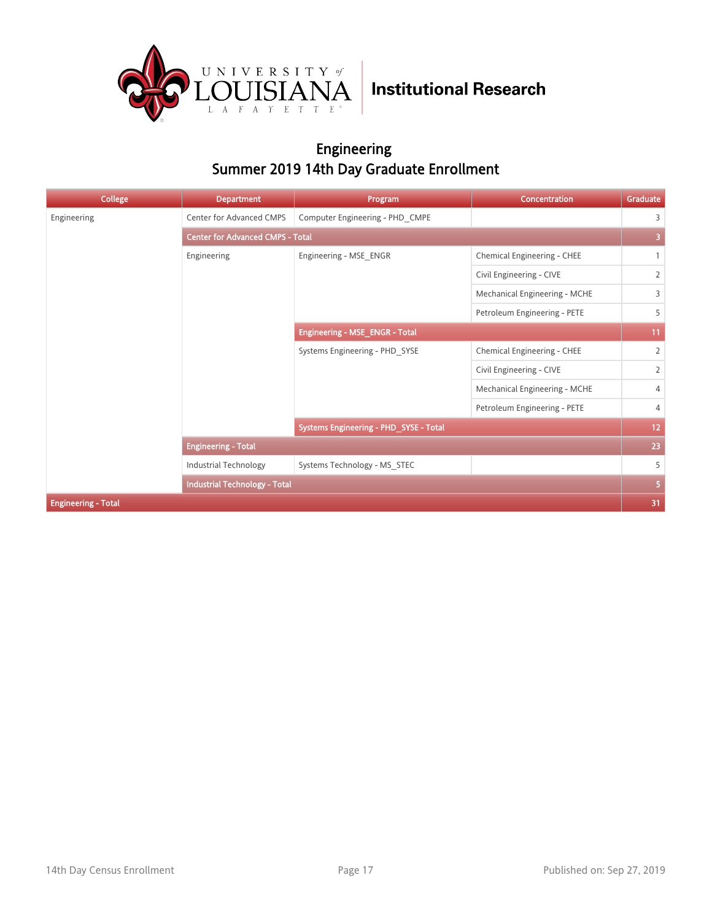

#### Engineering Summer 2019 14th Day Graduate Enrollment

| <b>College</b>             | <b>Department</b>                       | Program                                | Concentration                 | Graduate       |
|----------------------------|-----------------------------------------|----------------------------------------|-------------------------------|----------------|
| Engineering                | Center for Advanced CMPS                | Computer Engineering - PHD CMPE        |                               | 3              |
|                            | <b>Center for Advanced CMPS - Total</b> |                                        |                               | 3              |
|                            | Engineering                             | Engineering - MSE ENGR                 | Chemical Engineering - CHEE   | $\mathbf{1}$   |
|                            |                                         |                                        | Civil Engineering - CIVE      | $\overline{2}$ |
|                            |                                         |                                        | Mechanical Engineering - MCHE | 3              |
|                            |                                         |                                        | Petroleum Engineering - PETE  | 5              |
|                            |                                         | Engineering - MSE_ENGR - Total         |                               | 11             |
|                            |                                         | Systems Engineering - PHD SYSE         | Chemical Engineering - CHEE   | $\overline{2}$ |
|                            |                                         |                                        | Civil Engineering - CIVE      | $\overline{2}$ |
|                            |                                         |                                        | Mechanical Engineering - MCHE | $\overline{4}$ |
|                            |                                         |                                        | Petroleum Engineering - PETE  | 4              |
|                            |                                         | Systems Engineering - PHD_SYSE - Total |                               | 12             |
|                            | <b>Engineering - Total</b>              |                                        |                               | 23             |
|                            | Industrial Technology                   | Systems Technology - MS_STEC           |                               | 5              |
|                            | <b>Industrial Technology - Total</b>    |                                        |                               | 5              |
| <b>Engineering - Total</b> |                                         |                                        |                               | 31             |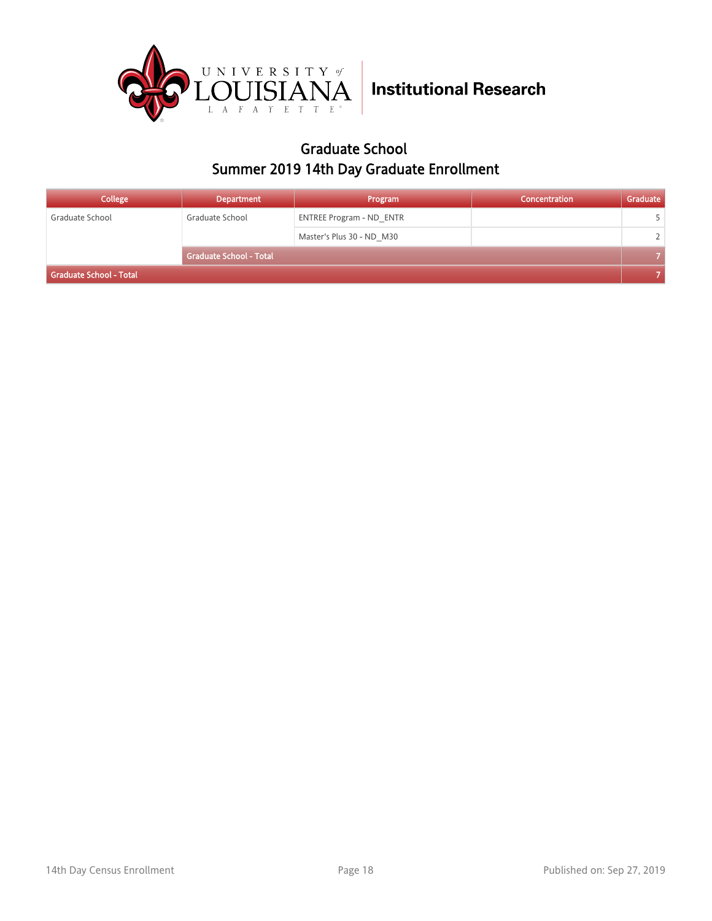

#### Graduate School Summer 2019 14th Day Graduate Enrollment

| <b>College</b>          | <b>Department</b>              | Program                         | <b>Concentration</b> | Graduate      |
|-------------------------|--------------------------------|---------------------------------|----------------------|---------------|
| Graduate School         | Graduate School                | <b>ENTREE Program - ND ENTR</b> |                      |               |
|                         |                                | Master's Plus 30 - ND M30       |                      | $\mathcal{L}$ |
|                         | <b>Graduate School - Total</b> |                                 |                      |               |
| Graduate School - Total |                                |                                 |                      |               |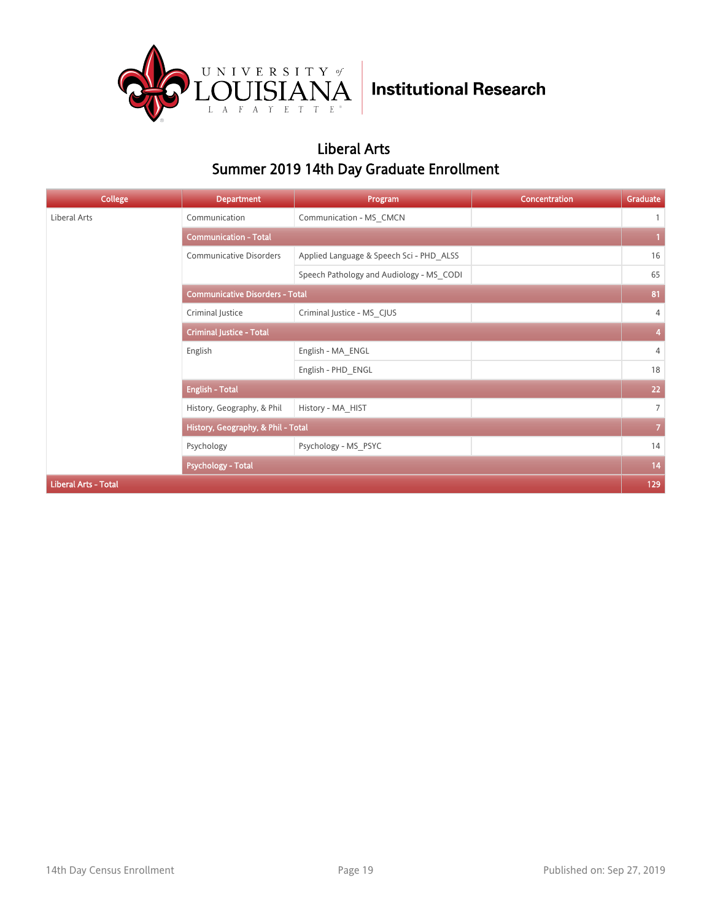

#### Liberal Arts Summer 2019 14th Day Graduate Enrollment

| College                     | <b>Department</b>                      | Program                                  | Concentration | Graduate       |
|-----------------------------|----------------------------------------|------------------------------------------|---------------|----------------|
| Liberal Arts                | Communication                          | Communication - MS CMCN                  |               | $\mathbf{1}$   |
|                             | <b>Communication - Total</b>           |                                          |               |                |
|                             | <b>Communicative Disorders</b>         | Applied Language & Speech Sci - PHD ALSS |               | 16             |
|                             |                                        | Speech Pathology and Audiology - MS CODI |               | 65             |
|                             | <b>Communicative Disorders - Total</b> |                                          |               | 81             |
|                             | Criminal Justice                       | Criminal Justice - MS CJUS               |               | 4              |
|                             | <b>Criminal Justice - Total</b>        |                                          |               | 4              |
|                             | English                                | English - MA ENGL                        |               | $\overline{4}$ |
|                             |                                        | English - PHD ENGL                       |               | 18             |
|                             | <b>English - Total</b>                 |                                          |               | 22             |
|                             | History, Geography, & Phil             | History - MA HIST                        |               | $\overline{7}$ |
|                             | History, Geography, & Phil - Total     |                                          |               | $\overline{7}$ |
|                             | Psychology                             | Psychology - MS_PSYC                     |               | 14             |
|                             | <b>Psychology - Total</b>              |                                          |               | 14             |
| <b>Liberal Arts - Total</b> |                                        |                                          |               | 129            |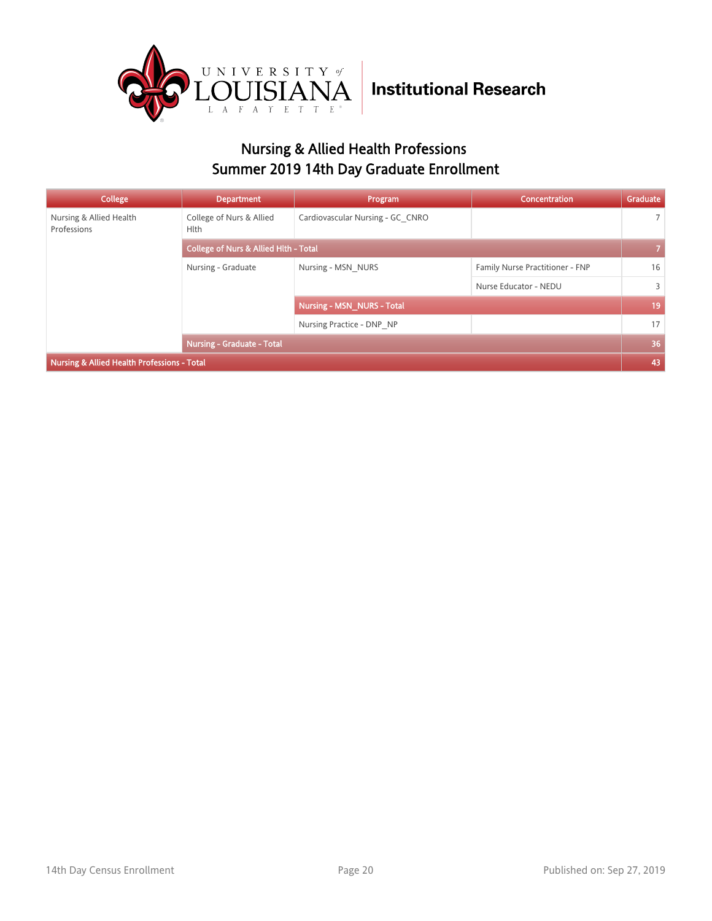

### Nursing & Allied Health Professions Summer 2019 14th Day Graduate Enrollment

| College                                                | <b>Department</b>                                | Program                           | Concentration                   | Graduate       |
|--------------------------------------------------------|--------------------------------------------------|-----------------------------------|---------------------------------|----------------|
| Nursing & Allied Health<br>Professions                 | College of Nurs & Allied<br><b>Hlth</b>          | Cardiovascular Nursing - GC CNRO  |                                 | $\overline{7}$ |
|                                                        | <b>College of Nurs &amp; Allied Hith - Total</b> |                                   |                                 |                |
|                                                        | Nursing - Graduate                               | Nursing - MSN NURS                | Family Nurse Practitioner - FNP | 16             |
|                                                        |                                                  |                                   | Nurse Educator - NEDU           | 3              |
|                                                        |                                                  | <b>Nursing - MSN NURS - Total</b> |                                 | 19             |
|                                                        |                                                  | Nursing Practice - DNP NP         |                                 | 17             |
|                                                        | <b>Nursing - Graduate - Total</b>                |                                   |                                 | 36             |
| <b>Nursing &amp; Allied Health Professions - Total</b> |                                                  |                                   |                                 |                |